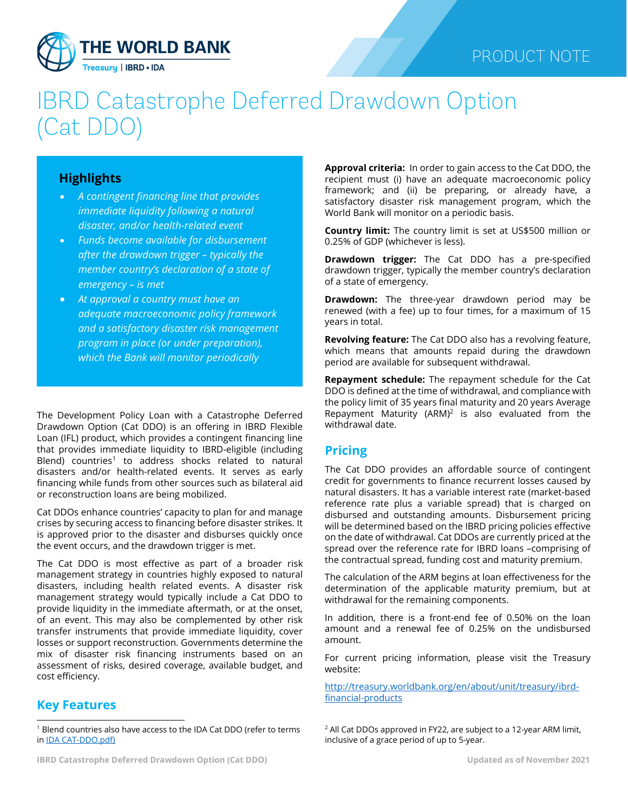

## PRODUCT NOTE

# IBRD Catastrophe Deferred Drawdown Option (Cat DDO)

#### **Highlights**

- *A contingent financing line that provides immediate liquidity following a natural disaster, and/or health-related event*
- *Funds become available for disbursement after the drawdown trigger – typically the member country's declaration of a state of emergency – is met*
- *At approval a country must have an adequate macroeconomic policy framework and a satisfactory disaster risk management program in place (or under preparation), which the Bank will monitor periodically*

The Development Policy Loan with a Catastrophe Deferred Drawdown Option (Cat DDO) is an offering in IBRD Flexible Loan (IFL) product, which provides a contingent financing line that provides immediate liquidity to IBRD-eligible (including Blend) countries<sup>[1](#page-0-0)</sup> to address shocks related to natural disasters and/or health-related events. It serves as early financing while funds from other sources such as bilateral aid or reconstruction loans are being mobilized.

Cat DDOs enhance countries' capacity to plan for and manage crises by securing access to financing before disaster strikes. It is approved prior to the disaster and disburses quickly once the event occurs, and the drawdown trigger is met.

The Cat DDO is most effective as part of a broader risk management strategy in countries highly exposed to natural disasters, including health related events. A disaster risk management strategy would typically include a Cat DDO to provide liquidity in the immediate aftermath, or at the onset, of an event. This may also be complemented by other risk transfer instruments that provide immediate liquidity, cover losses or support reconstruction. Governments determine the mix of disaster risk financing instruments based on an assessment of risks, desired coverage, available budget, and cost efficiency.

### **Key Features**

**Approval criteria:** In order to gain access to the Cat DDO, the recipient must (i) have an adequate macroeconomic policy framework; and (ii) be preparing, or already have, a satisfactory disaster risk management program, which the World Bank will monitor on a periodic basis.

**Country limit:** The country limit is set at US\$500 million or 0.25% of GDP (whichever is less).

**Drawdown trigger:** The Cat DDO has a pre-specified drawdown trigger, typically the member country's declaration of a state of emergency.

**Drawdown:** The three-year drawdown period may be renewed (with a fee) up to four times, for a maximum of 15 years in total.

**Revolving feature:** The Cat DDO also has a revolving feature, which means that amounts repaid during the drawdown period are available for subsequent withdrawal.

**Repayment schedule:** The repayment schedule for the Cat DDO is defined at the time of withdrawal, and compliance with the policy limit of 35 years final maturity and 20 years Average Repayment Maturity (ARM)<sup>2</sup> is also evaluated from the withdrawal date.

#### **Pricing**

The Cat DDO provides an affordable source of contingent credit for governments to finance recurrent losses caused by natural disasters. It has a variable interest rate (market-based reference rate plus a variable spread) that is charged on disbursed and outstanding amounts. Disbursement pricing will be determined based on the IBRD pricing policies effective on the date of withdrawal. Cat DDOs are currently priced at the spread over the reference rate for IBRD loans –comprising of the contractual spread, funding cost and maturity premium.

The calculation of the ARM begins at loan effectiveness for the determination of the applicable maturity premium, but at withdrawal for the remaining components.

In addition, there is a front-end fee of 0.50% on the loan amount and a renewal fee of 0.25% on the undisbursed amount.

For current pricing information, please visit the Treasury website:

[http://treasury.worldbank.org/en/about/unit/treasury/ibrd](http://treasury.worldbank.org/en/about/unit/treasury/ibrd-financial-products)[financial-products](http://treasury.worldbank.org/en/about/unit/treasury/ibrd-financial-products)

 $2$  All Cat DDOs approved in FY22, are subject to a 12-year ARM limit, inclusive of a grace period of up to 5-year.

<span id="page-0-0"></span> $1$  Blend countries also have access to the IDA Cat DDO (refer to terms in [IDA CAT-DDO.pdf\)](http://pubdocs.worldbank.org/en/563361507314948638/product-note-cat-ddo-ida-english-2015.pdf)